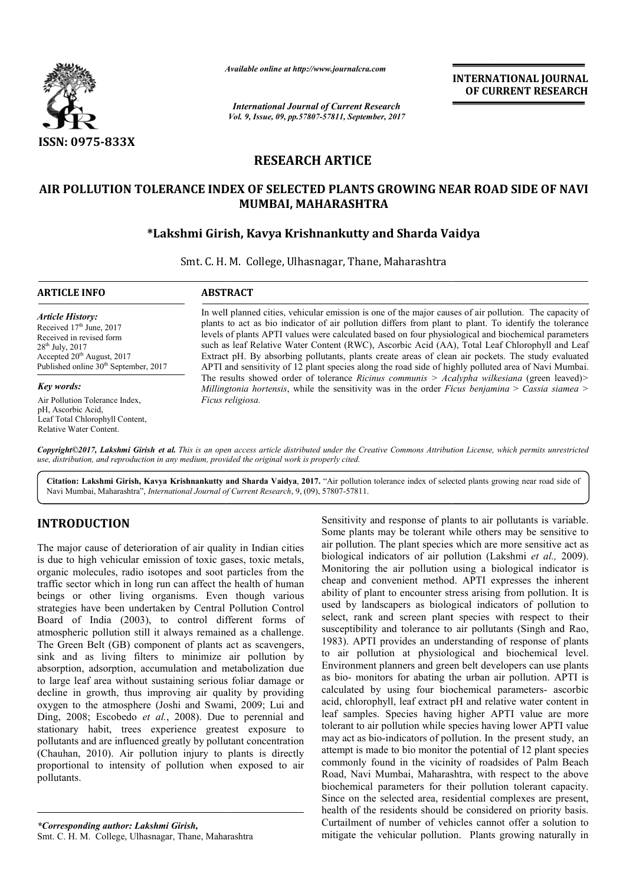

*Available online at http://www.journal http://www.journalcra.com*

*International Journal of Current Research Vol. 9, Issue, 09, pp.57807-57811, September, 2017* **INTERNATIONAL JOURNAL OF CURRENT RESEARCH** 

# **RESEARCH ARTICE**

# **AIR POLLUTION TOLERANCE INDEX OF SELECTED PLANTS GROWING NEAR ROAD SIDE OF NAVI MUMBAI, MAHARASHTRA**

# **\*Lakshmi Girish, Kavya Krishnankutty and Sharda Vaidya Lakshmi and Sharda**

Smt. C. H. M. College, Ulhasnagar, Thane, Maharashtra

#### **ARTICLE INFO ABSTRACT** In well planned cities, vehicular emission is one of the major causes of air pollution. The capacity of plants to act as bio indicator of air pollution differs from plant to plant. To identify the tolerance levels of plants APTI values were calculated based on four physiological and biochemical parameters *Article History:* Received 17<sup>th</sup> June, 2017 Received in revised form

28th July, 2017 Accepted 20<sup>th</sup> August, 2017 Published online  $30<sup>th</sup>$  September, 2017

#### *Key words:*

Air Pollution Tolerance Index, pH, Ascorbic Acid, Leaf Total Chlorophyll Content, Relative Water Content.

such as leaf Relative Water Content (RWC), Ascorbic Acid (AA), Total Leaf Chlorophyll and Leaf Extract pH. By absorbing pollutants, plants create areas of clean air pockets. The study evaluated APTI and sensitivity of 12 plant species along the road side of highly polluted area of Navi Mumbai. The results showed order of tolerance Ricinus communis > Acalypha wilkesiana (green leaved)> *Millingtonia hortensis* , while the sensitivity was in the order *Ficus benjamina*  > *Cassia siamea > Ficus religiosa.* In well planned cities, vehicular emission is one of the major causes of air pollution. The capacity of plants to act as bio indicator of air pollution differs from plant to plant. To identify the tolerance levels of plant

*Copyright©2017, Lakshmi Girish et al. This is an open access article distributed under the Creative Commons Attribution License, which ribution permits unrestricted use, distribution, and reproduction in any medium, provided the original work is properly cited.*

Citation: Lakshmi Girish, Kavya Krishnankutty and Sharda Vaidya, 2017. "Air pollution tolerance index of selected plants growing near road side of Navi Mumbai, Maharashtra", *International Journal of Current Research*, 9, (09), 57807-57811.

# **INTRODUCTION**

The major cause of deterioration of air quality in Indian cities is due to high vehicular emission of toxic gases, toxic metals, organic molecules, radio isotopes and soot particles from the traffic sector which in long run can affect the health of human beings or other living organisms. Even though various strategies have been undertaken by Central Pollution Control Board of India (2003), to control different forms of atmospheric pollution still it always remained as a challenge. The Green Belt (GB) component of plants act as scavengers, sink and as living filters to minimize air pollution by absorption, adsorption, accumulation and metabolization due to large leaf area without sustaining serious foliar damage or decline in growth, thus improving air quality by providing oxygen to the atmosphere (Joshi and Swami, 2009; Lui and Ding, 2008; Escobedo *et al.*, 2008). Due to perennial and stationary habit, trees experience greatest exposure to pollutants and are influenced greatly by pollutant concentration (Chauhan, 2010). Air pollution injury to plants is directly proportional to intensity of pollution when exposed to air pollutants. eings or other living organisms. Even though various<br>trategies have been undertaken by Central Pollution Control<br>loard of India (2003), to control different forms of<br>tmospheric pollution still it always remained as a chall **ODUCTION**<br>
Sensitivity and response of pla<br>
igor cause of deterioration of air quality in Indian cities<br>
air pollution. The plant species<br>
to high vehicular emission of toxic gases, toxic metals,<br>
biological indicators o

Some plants may be tolerant while others may be sensitive to air pollution. The plant species which are more sensitive act as Some plants may be tolerant while others may be sensitive to air pollution. The plant species which are more sensitive act as biological indicators of air pollution *(Lakshmi et al., 2009)*. Monitoring the air pollution usi pollution using a biological indicator is cheap and convenient method. APTI expresses the inherent ability of plant to encounter stress arising from pollution. It is ability of plant to encounter stress arising from pollution. It is used by landscapers as biological indicators of pollution to select, rank and screen plant species with respect to their susceptibility and tolerance to air pollutants (Singh and Rao, 1983). APTI provides an understanding of response of plants to air pollution at physiological and biochemical level. 1983). APTI provides an understanding of response of plants to air pollution at physiological and biochemical level.<br>Environment planners and green belt developers can use plants as bio- monitors for abating the urban air pollution. APTI is as bio- monitors for abating the urban air pollution. APTI is calculated by using four biochemical parameters- ascorbic acid, chlorophyll, leaf extract pH and relative water content in leaf samples. Species having higher APTI value are more tolerant to air pollution while species having lower APTI value may act as bio-indicators of pollution. In the present study, an attempt is made to bio monitor the potential of 12 plant species commonly found in the vicinity of roadsides of Palm Beach Road, Navi Mumbai, Maharashtra, with respect to the above biochemical parameters for their pollution tolerant capacity. Since on the selected area, residential complexes are present, health of the residents should be considered on priority basis. Curtailment of number of vehicles cannot offer a solution to mitigate the vehicular pollution. Plants growing naturally in Sensitivity and response of plants to air pollutants is variable. acid, chlorophyll, leaf extract pH and relative water content in<br>leaf samples. Species having higher APTI value are more<br>tolerant to air pollution while species having lower APTI value **INTERNATIONAL JOURNAL (COURNERY RESEARCH CONSIDENT OF CURRENY RESEARCH COURNERY (COURNERY RESEARCH COURNERY COURNERY (COURNERY RESEARCH COURNERY CROWING NEAR ROAD SIDE OF NAVIAL ARASHITRA ann and the pair of air politici**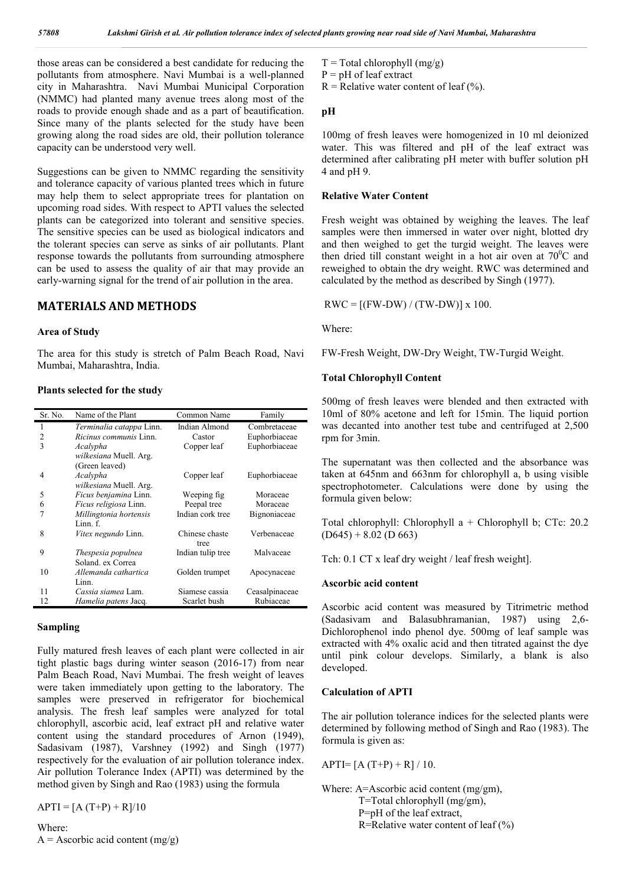those areas can be considered a best candidate for reducing the pollutants from atmosphere. Navi Mumbai is a well-planned city in Maharashtra. Navi Mumbai Municipal Corporation (NMMC) had planted many avenue trees along most of the roads to provide enough shade and as a part of beautification. Since many of the plants selected for the study have been growing along the road sides are old, their pollution tolerance capacity can be understood very well.

Suggestions can be given to NMMC regarding the sensitivity and tolerance capacity of various planted trees which in future may help them to select appropriate trees for plantation on upcoming road sides. With respect to APTI values the selected plants can be categorized into tolerant and sensitive species. The sensitive species can be used as biological indicators and the tolerant species can serve as sinks of air pollutants. Plant response towards the pollutants from surrounding atmosphere can be used to assess the quality of air that may provide an early-warning signal for the trend of air pollution in the area.

## **MATERIALS AND METHODS**

#### **Area of Study**

The area for this study is stretch of Palm Beach Road, Navi Mumbai, Maharashtra, India.

#### **Plants selected for the study**

| Sr. No. | Name of the Plant               | Common Name       | Family         |
|---------|---------------------------------|-------------------|----------------|
| 1       | <i>Terminalia catappa</i> Linn. | Indian Almond     | Combretaceae   |
| 2       | <i>Ricinus communis</i> Linn.   | Castor            | Euphorbiaceae  |
| 3       | Acalypha                        | Copper leaf       | Euphorbiaceae  |
|         | wilkesiana Muell. Arg.          |                   |                |
|         | (Green leaved)                  |                   |                |
| 4       | Acalypha                        | Copper leaf       | Euphorbiaceae  |
|         | wilkesiana Muell. Arg.          |                   |                |
| 5       | <i>Ficus benjamina</i> Linn.    | Weeping fig       | Moraceae       |
| 6       | <i>Ficus religiosa</i> Linn.    | Peepal tree       | Moraceae       |
|         | Millingtonia hortensis          | Indian cork tree  | Bignoniaceae   |
|         | Linn. f.                        |                   |                |
| 8       | <i>Vitex negundo</i> Linn.      | Chinese chaste    | Verbenaceae    |
|         |                                 | tree              |                |
| 9       | Thespesia populnea              | Indian tulip tree | Malvaceae      |
|         | Soland, ex Correa               |                   |                |
| 10      | Allemanda cathartica            | Golden trumpet    | Apocynaceae    |
|         | Linn.                           |                   |                |
| 11      | Cassia siamea Lam.              | Siamese cassia    | Ceasalpinaceae |
| 12      | <i>Hamelia patens</i> Jacq.     | Scarlet bush      | Rubiaceae      |

#### **Sampling**

Fully matured fresh leaves of each plant were collected in air tight plastic bags during winter season (2016-17) from near Palm Beach Road, Navi Mumbai. The fresh weight of leaves were taken immediately upon getting to the laboratory. The samples were preserved in refrigerator for biochemical analysis. The fresh leaf samples were analyzed for total chlorophyll, ascorbic acid, leaf extract pH and relative water content using the standard procedures of Arnon (1949), Sadasivam (1987), Varshney (1992) and Singh (1977) respectively for the evaluation of air pollution tolerance index. Air pollution Tolerance Index (APTI) was determined by the method given by Singh and Rao (1983) using the formula

 $APTI = [A (T+P) + R]/10$ 

### Where:  $A =$  Ascorbic acid content (mg/g)

- $T = Total chlorophyll (mg/g)$
- $P = pH of leaf extract$
- $R =$  Relative water content of leaf  $(\%).$

#### **pH**

100mg of fresh leaves were homogenized in 10 ml deionized water. This was filtered and pH of the leaf extract was determined after calibrating pH meter with buffer solution pH 4 and pH 9.

#### **Relative Water Content**

Fresh weight was obtained by weighing the leaves. The leaf samples were then immersed in water over night, blotted dry and then weighed to get the turgid weight. The leaves were then dried till constant weight in a hot air oven at  $70^{\circ}$ C and reweighed to obtain the dry weight. RWC was determined and calculated by the method as described by Singh (1977).

 $RWC = [(FW-DW) / (TW-DW)] x 100.$ 

Where:

FW-Fresh Weight, DW-Dry Weight, TW-Turgid Weight.

#### **Total Chlorophyll Content**

500mg of fresh leaves were blended and then extracted with 10ml of 80% acetone and left for 15min. The liquid portion was decanted into another test tube and centrifuged at 2,500 rpm for 3min.

The supernatant was then collected and the absorbance was taken at 645nm and 663nm for chlorophyll a, b using visible spectrophotometer. Calculations were done by using the formula given below:

Total chlorophyll: Chlorophyll a + Chlorophyll b; CTc: 20.2  $(D645) + 8.02$  (D 663)

Tch: 0.1 CT x leaf dry weight / leaf fresh weight].

#### **Ascorbic acid content**

Ascorbic acid content was measured by Titrimetric method (Sadasivam and Balasubhramanian, 1987) using 2,6- Dichlorophenol indo phenol dye. 500mg of leaf sample was extracted with 4% oxalic acid and then titrated against the dye until pink colour develops. Similarly, a blank is also developed.

### **Calculation of APTI**

The air pollution tolerance indices for the selected plants were determined by following method of Singh and Rao (1983). The formula is given as:

APTI=  $[A(T+P) + R]/10$ .

Where: A=Ascorbic acid content (mg/gm), T=Total chlorophyll (mg/gm), P=pH of the leaf extract, R=Relative water content of leaf  $(\% )$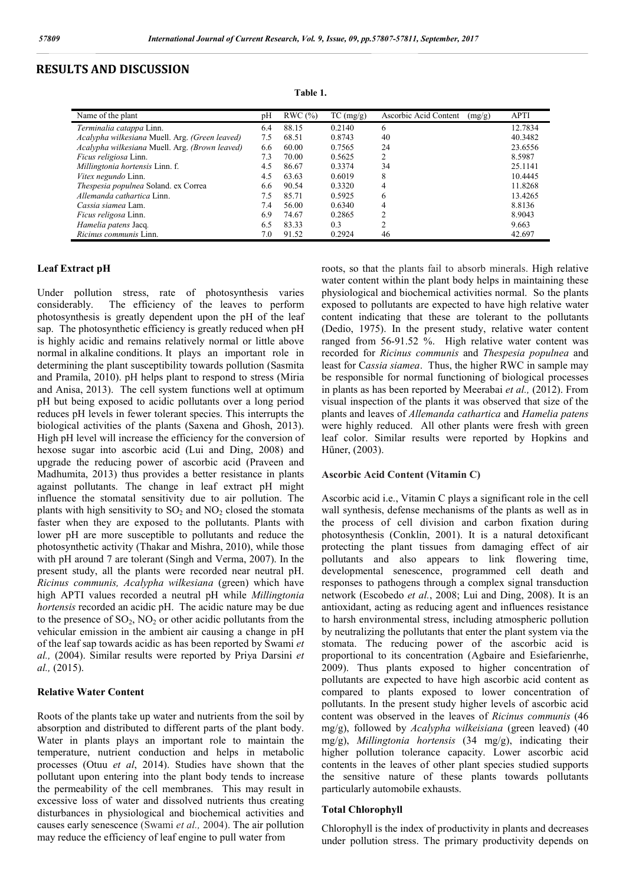## **RESULTS AND DISCUSSION**

| ۹ | Н | п<br>ı |  |
|---|---|--------|--|
|---|---|--------|--|

| Name of the plant                              | рH  | RWC(%) | TC (mg/g) | Ascorbic Acid Content<br>(mg/g) | <b>APTI</b> |
|------------------------------------------------|-----|--------|-----------|---------------------------------|-------------|
| Terminalia catappa Linn.                       | 6.4 | 88.15  | 0.2140    | 6                               | 12.7834     |
| Acalypha wilkesiana Muell. Arg. (Green leaved) | 7.5 | 68.51  | 0.8743    | 40                              | 40.3482     |
| Acalypha wilkesiana Muell. Arg. (Brown leaved) | 6.6 | 60.00  | 0.7565    | 24                              | 23.6556     |
| <i>Ficus religiosa</i> Linn.                   | 7.3 | 70.00  | 0.5625    | 2                               | 8.5987      |
| Millingtonia hortensis Linn. f.                | 4.5 | 86.67  | 0.3374    | 34                              | 25.1141     |
| Vitex negundo Linn.                            | 4.5 | 63.63  | 0.6019    | 8                               | 10.4445     |
| Thespesia populnea Soland. ex Correa           | 6.6 | 90.54  | 0.3320    | 4                               | 11.8268     |
| Allemanda cathartica Linn.                     | 7.5 | 85.71  | 0.5925    | 6                               | 13.4265     |
| <i>Cassia siamea</i> Lam.                      | 7.4 | 56.00  | 0.6340    | 4                               | 8.8136      |
| <i>Ficus religosa</i> Linn.                    | 6.9 | 74.67  | 0.2865    | ↑                               | 8.9043      |
| Hamelia patens Jacq.                           | 6.5 | 83.33  | 0.3       | ↑                               | 9.663       |
| Ricinus communis Linn.                         | 7.0 | 91.52  | 0.2924    | 46                              | 42.697      |

#### **Leaf Extract pH**

Under pollution stress, rate of photosynthesis varies considerably. The efficiency of the leaves to perform photosynthesis is greatly dependent upon the pH of the leaf sap. The photosynthetic efficiency is greatly reduced when pH is highly acidic and remains relatively normal or little above normal in alkaline conditions. It plays an important role in determining the plant susceptibility towards pollution (Sasmita and Pramila, 2010). pH helps plant to respond to stress (Miria and Anisa, 2013). The cell system functions well at optimum pH but being exposed to acidic pollutants over a long period reduces pH levels in fewer tolerant species. This interrupts the biological activities of the plants (Saxena and Ghosh, 2013). High pH level will increase the efficiency for the conversion of hexose sugar into ascorbic acid (Lui and Ding, 2008) and upgrade the reducing power of ascorbic acid (Praveen and Madhumita, 2013) thus provides a better resistance in plants against pollutants. The change in leaf extract pH might influence the stomatal sensitivity due to air pollution. The plants with high sensitivity to  $SO<sub>2</sub>$  and  $NO<sub>2</sub>$  closed the stomata faster when they are exposed to the pollutants. Plants with lower pH are more susceptible to pollutants and reduce the photosynthetic activity (Thakar and Mishra, 2010), while those with pH around 7 are tolerant (Singh and Verma, 2007). In the present study, all the plants were recorded near neutral pH. *Ricinus communis, Acalypha wilkesiana* (green) which have high APTI values recorded a neutral pH while *Millingtonia hortensis* recorded an acidic pH. The acidic nature may be due to the presence of  $SO_2$ ,  $NO_2$  or other acidic pollutants from the vehicular emission in the ambient air causing a change in pH of the leaf sap towards acidic as has been reported by Swami *et al.,* (2004). Similar results were reported by Priya Darsini *et al.,* (2015).

#### **Relative Water Content**

Roots of the plants take up water and nutrients from the soil by absorption and distributed to different parts of the plant body. Water in plants plays an important role to maintain the temperature, nutrient conduction and helps in metabolic processes (Otuu *et al*, 2014). Studies have shown that the pollutant upon entering into the plant body tends to increase the permeability of the cell membranes. This may result in excessive loss of water and dissolved nutrients thus creating disturbances in physiological and biochemical activities and causes early senescence (Swami *et al.,* 2004). The air pollution may reduce the efficiency of leaf engine to pull water from

roots, so that the plants fail to absorb minerals. High relative water content within the plant body helps in maintaining these physiological and biochemical activities normal. So the plants exposed to pollutants are expected to have high relative water content indicating that these are tolerant to the pollutants (Dedio, 1975). In the present study, relative water content ranged from 56-91.52 %. High relative water content was recorded for *Ricinus communis* and *Thespesia populnea* and least for C*assia siamea*. Thus, the higher RWC in sample may be responsible for normal functioning of biological processes in plants as has been reported by Meerabai *et al.,* (2012). From visual inspection of the plants it was observed that size of the plants and leaves of *Allemanda cathartica* and *Hamelia patens* were highly reduced. All other plants were fresh with green leaf color. Similar results were reported by Hopkins and Hűner, (2003).

#### **Ascorbic Acid Content (Vitamin C)**

Ascorbic acid i.e., Vitamin C plays a significant role in the cell wall synthesis, defense mechanisms of the plants as well as in the process of cell division and carbon fixation during photosynthesis (Conklin, 2001). It is a natural detoxificant protecting the plant tissues from damaging effect of air pollutants and also appears to link flowering time, developmental senescence, programmed cell death and responses to pathogens through a complex signal transduction network (Escobedo *et al.*, 2008; Lui and Ding, 2008). It is an antioxidant, acting as reducing agent and influences resistance to harsh environmental stress, including atmospheric pollution by neutralizing the pollutants that enter the plant system via the stomata. The reducing power of the ascorbic acid is proportional to its concentration (Agbaire and Esiefarienrhe, 2009). Thus plants exposed to higher concentration of pollutants are expected to have high ascorbic acid content as compared to plants exposed to lower concentration of pollutants. In the present study higher levels of ascorbic acid content was observed in the leaves of *Ricinus communis* (46 mg/g), followed by *Acalypha wilkeisiana* (green leaved) (40 mg/g), *Millingtonia hortensis* (34 mg/g), indicating their higher pollution tolerance capacity. Lower ascorbic acid contents in the leaves of other plant species studied supports the sensitive nature of these plants towards pollutants particularly automobile exhausts.

### **Total Chlorophyll**

Chlorophyll is the index of productivity in plants and decreases under pollution stress. The primary productivity depends on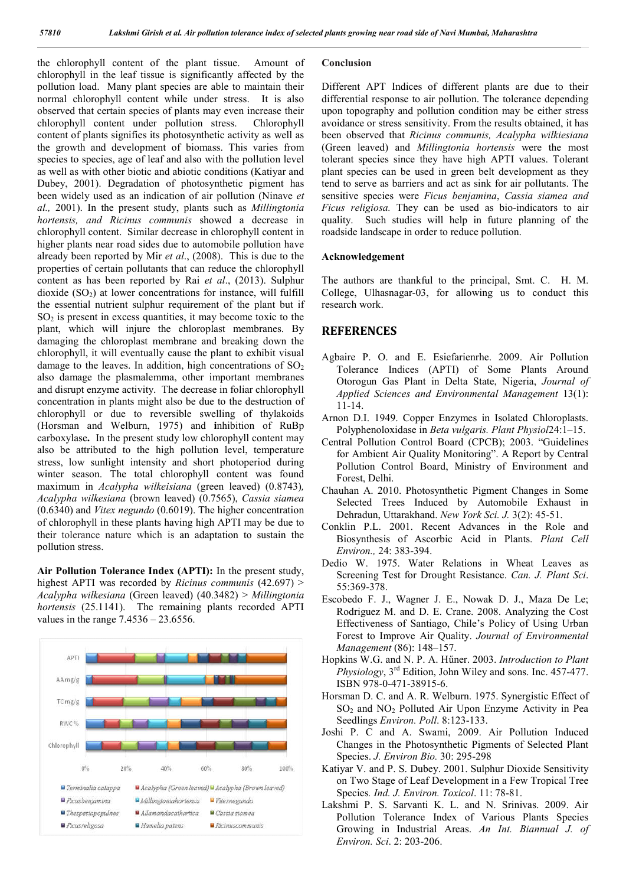the chlorophyll content of the plant tissue. Amount of chlorophyll in the leaf tissue is significantly affected by the pollution load. Many plant species are able to maintain their normal chlorophyll content while under stress. It is also observed that certain species of plants may even increase their chlorophyll content under pollution stress. Chlorophyll content of plants signifies its photosynthetic activity as well as the growth and development of biomass. This varies from species to species, age of leaf and also with the pollution level as well as with other biotic and abiotic conditions (Katiyar and Dubey, 2001). Degradation of photosynthetic pigment has been widely used as an indication of air pollution (Ninave *et al.,* 2001). In the present study, plants such as *Millingtonia hortensis, and Ricinus communis* showed a decrease in chlorophyll content. Similar decrease in chlorophyll content in higher plants near road sides due to automobile pollution have already been reported by Mir *et al*., (2008). This is due to the properties of certain pollutants that can reduce the chlorophyll content as has been reported by Rai *et al*., (2013). Sulphur dioxide  $(SO<sub>2</sub>)$  at lower concentrations for instance, will fulfill the essential nutrient sulphur requirement of the plant but if  $SO<sub>2</sub>$  is present in excess quantities, it may become toxic to the plant, which will injure the chloroplast membranes. By damaging the chloroplast membrane and breaking down the chlorophyll, it will eventually cause the plant to exhibit visual damage to the leaves. In addition, high concentrations of  $SO<sub>2</sub>$ also damage the plasmalemma, other important membranes and disrupt enzyme activity. The decrease in foliar chlorophyll concentration in plants might also be due to the destruction of chlorophyll or due to reversible swelling of thylakoids (Horsman and Welburn, 1975) and **i**nhibition of RuBp carboxylase**.** In the present study low chlorophyll content may also be attributed to the high pollution level, temperature stress, low sunlight intensity and short photoperiod during winter season. The total chlorophyll content was found maximum in *Acalypha wilkeisiana* (green leaved) (0.8743)*, Acalypha wilkesiana* (brown leaved) (0.7565), *Cassia siamea*  (0.6340) and *Vitex negundo* (0.6019). The higher concentration of chlorophyll in these plants having high APTI may be due to their tolerance nature which is an adaptation to sustain the pollution stress.

**Air Pollution Tolerance Index (APTI):** In the present study, highest APTI was recorded by *Ricinus communis* (42.697) > *Acalypha wilkesiana* (Green leaved) (40.3482) > *Millingtonia hortensis* (25.1141). The remaining plants recorded APTI values in the range 7.4536 – 23.6556.



#### **Conclusion**

Different APT Indices of different plants are due to their differential response to air pollution. The tolerance depending upon topography and pollution condition may be either stress avoidance or stress sensitivity. From the results obtained, it has been observed that *Ricinus communis, Acalypha wilkiesiana*  (Green leaved) and *Millingtonia hortensis* were the most tolerant species since they have high APTI values. Tolerant plant species can be used in green belt development as they tend to serve as barriers and act as sink for air pollutants. The sensitive species were *Ficus benjamina*, *Cassia siamea and Ficus religiosa.* They can be used as bio-indicators to air quality. Such studies will help in future planning of the roadside landscape in order to reduce pollution.

### **Acknowledgement**

The authors are thankful to the principal, Smt. C. H. M. College, Ulhasnagar-03, for allowing us to conduct this research work.

## **REFERENCES**

- Agbaire P. O. and E. Esiefarienrhe. 2009. Air Pollution Tolerance Indices (APTI) of Some Plants Around Otorogun Gas Plant in Delta State, Nigeria, *Journal of Applied Sciences and Environmental Management* 13(1): 11-14.
- Arnon D.I. 1949. Copper Enzymes in Isolated Chloroplasts. Polyphenoloxidase in *Beta vulgaris. Plant Physiol*24:1–15.
- Central Pollution Control Board (CPCB); 2003. "Guidelines for Ambient Air Quality Monitoring". A Report by Central Pollution Control Board, Ministry of Environment and Forest, Delhi.
- Chauhan A. 2010. Photosynthetic Pigment Changes in Some Selected Trees Induced by Automobile Exhaust in Dehradun, Uttarakhand. *New York Sci. J.* 3(2): 45-51.
- Conklin P.L. 2001. Recent Advances in the Role and Biosynthesis of Ascorbic Acid in Plants. *Plant Cell Environ.,* 24: 383-394.
- Dedio W. 1975. Water Relations in Wheat Leaves as Screening Test for Drought Resistance. *Can. J. Plant Sci*. 55:369-378.
- Escobedo F. J., Wagner J. E., Nowak D. J., Maza De Le; Rodriguez M. and D. E. Crane. 2008. Analyzing the Cost Effectiveness of Santiago, Chile's Policy of Using Urban Forest to Improve Air Quality. *Journal of Environmental Management* (86): 148–157.
- Hopkins W.G. and N. P. A. Hűner. 2003. *Introduction to Plant Physiology*, 3rd Edition, John Wiley and sons. Inc. 457-477. ISBN 978-0-471-38915-6.
- Horsman D. C. and A. R. Welburn. 1975. Synergistic Effect of  $SO<sub>2</sub>$  and  $NO<sub>2</sub>$  Polluted Air Upon Enzyme Activity in Pea Seedlings *Environ. Poll*. 8:123-133.
- Joshi P. C and A. Swami, 2009. Air Pollution Induced Changes in the Photosynthetic Pigments of Selected Plant Species. *J. Environ Bio.* 30: 295-298
- Katiyar V. and P. S. Dubey. 2001. Sulphur Dioxide Sensitivity on Two Stage of Leaf Development in a Few Tropical Tree Species*. Ind. J. Environ. Toxicol*. 11: 78-81.
- Lakshmi P. S. Sarvanti K. L. and N. Srinivas. 2009. Air Pollution Tolerance Index of Various Plants Species Growing in Industrial Areas. *An Int. Biannual J. of Environ. Sci*. 2: 203-206.